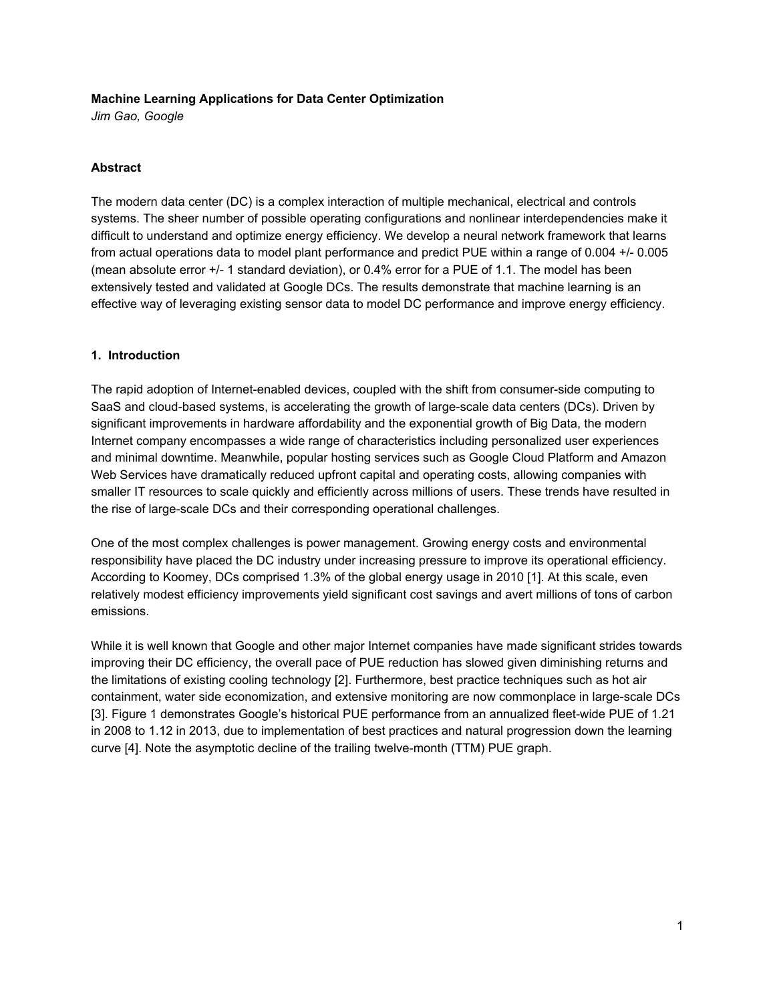### **Machine Learning Applications for Data Center Optimization**

*Jim Gao, Google*

### **Abstract**

The modern data center (DC) is a complex interaction of multiple mechanical, electrical and controls systems. The sheer number of possible operating configurations and nonlinear interdependencies make it difficult to understand and optimize energy efficiency. We develop a neural network framework that learns from actual operations data to model plant performance and predict PUE within a range of 0.004 +/ 0.005 (mean absolute error +/- 1 standard deviation), or 0.4% error for a PUE of 1.1. The model has been extensively tested and validated at Google DCs. The results demonstrate that machine learning is an effective way of leveraging existing sensor data to model DC performance and improve energy efficiency.

### **1. Introduction**

The rapid adoption of Internet-enabled devices, coupled with the shift from consumer-side computing to SaaS and cloud-based systems, is accelerating the growth of large-scale data centers (DCs). Driven by significant improvements in hardware affordability and the exponential growth of Big Data, the modern Internet company encompasses a wide range of characteristics including personalized user experiences and minimal downtime. Meanwhile, popular hosting services such as Google Cloud Platform and Amazon Web Services have dramatically reduced upfront capital and operating costs, allowing companies with smaller IT resources to scale quickly and efficiently across millions of users. These trends have resulted in the rise of large-scale DCs and their corresponding operational challenges.

One of the most complex challenges is power management. Growing energy costs and environmental responsibility have placed the DC industry under increasing pressure to improve its operational efficiency. According to Koomey, DCs comprised 1.3% of the global energy usage in 2010 [1]. At this scale, even relatively modest efficiency improvements yield significant cost savings and avert millions of tons of carbon emissions.

While it is well known that Google and other major Internet companies have made significant strides towards improving their DC efficiency, the overall pace of PUE reduction has slowed given diminishing returns and the limitations of existing cooling technology [2]. Furthermore, best practice techniques such as hot air containment, water side economization, and extensive monitoring are now commonplace in large-scale DCs [3]. Figure 1 demonstrates Google's historical PUE performance from an annualized fleet-wide PUE of 1.21 in 2008 to 1.12 in 2013, due to implementation of best practices and natural progression down the learning curve [4]. Note the asymptotic decline of the trailing twelvemonth (TTM) PUE graph.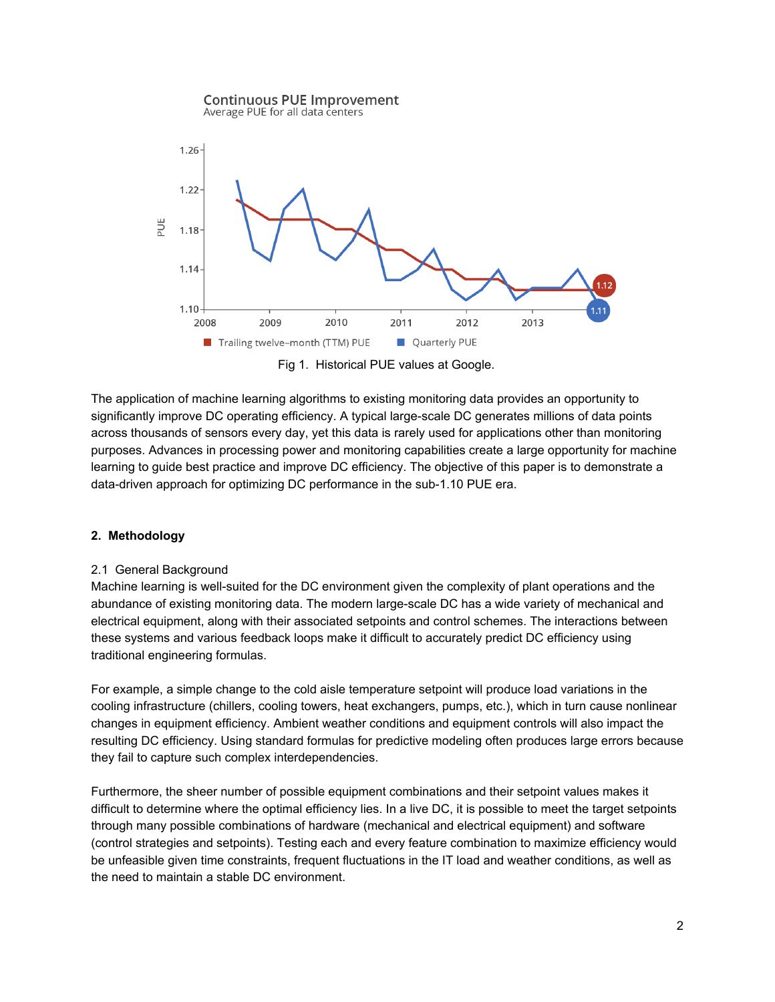

Fig 1. Historical PUE values at Google.

The application of machine learning algorithms to existing monitoring data provides an opportunity to significantly improve DC operating efficiency. A typical large-scale DC generates millions of data points across thousands of sensors every day, yet this data is rarely used for applications other than monitoring purposes. Advances in processing power and monitoring capabilities create a large opportunity for machine learning to guide best practice and improve DC efficiency. The objective of this paper is to demonstrate a data-driven approach for optimizing DC performance in the sub-1.10 PUE era.

# **2. Methodology**

# 2.1 General Background

Machine learning is well-suited for the DC environment given the complexity of plant operations and the abundance of existing monitoring data. The modern large-scale DC has a wide variety of mechanical and electrical equipment, along with their associated setpoints and control schemes. The interactions between these systems and various feedback loops make it difficult to accurately predict DC efficiency using traditional engineering formulas.

For example, a simple change to the cold aisle temperature setpoint will produce load variations in the cooling infrastructure (chillers, cooling towers, heat exchangers, pumps, etc.), which in turn cause nonlinear changes in equipment efficiency. Ambient weather conditions and equipment controls will also impact the resulting DC efficiency. Using standard formulas for predictive modeling often produces large errors because they fail to capture such complex interdependencies.

Furthermore, the sheer number of possible equipment combinations and their setpoint values makes it difficult to determine where the optimal efficiency lies. In a live DC, it is possible to meet the target setpoints through many possible combinations of hardware (mechanical and electrical equipment) and software (control strategies and setpoints). Testing each and every feature combination to maximize efficiency would be unfeasible given time constraints, frequent fluctuations in the IT load and weather conditions, as well as the need to maintain a stable DC environment.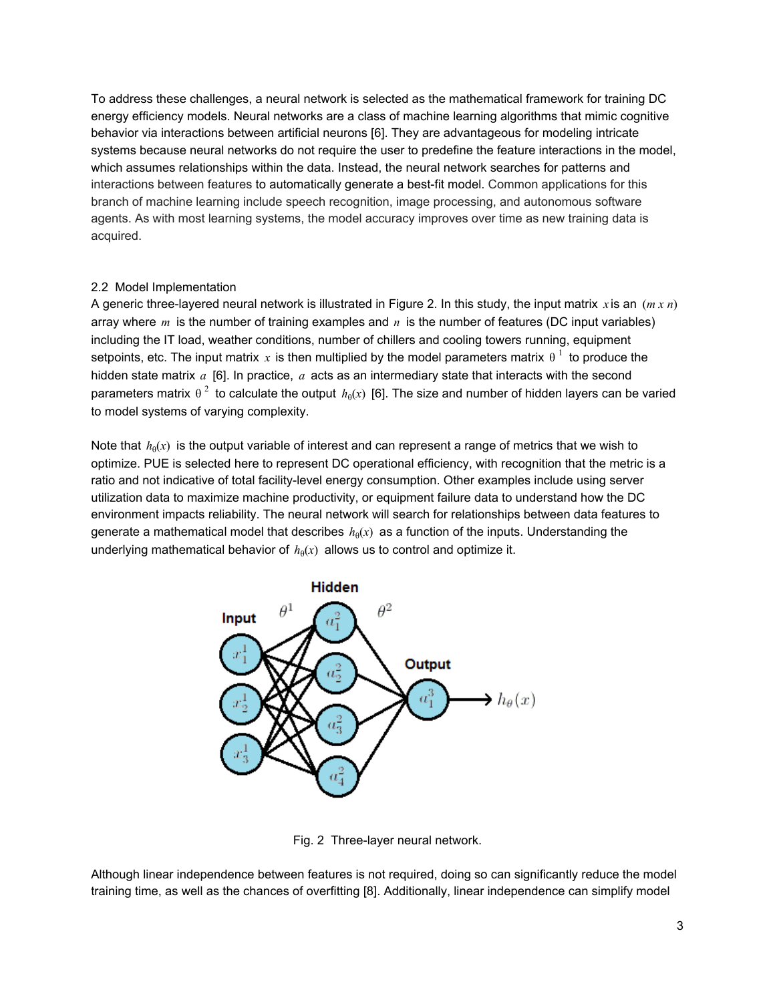To address these challenges, a neural network is selected as the mathematical framework for training DC energy efficiency models. Neural networks are a class of machine learning algorithms that mimic cognitive behavior via interactions between artificial neurons [6]. They are advantageous for modeling intricate systems because neural networks do not require the user to predefine the feature interactions in the model, which assumes relationships within the data. Instead, the neural network searches for patterns and interactions between features to automatically generate a best-fit model. Common applications for this branch of machine learning include speech recognition, image processing, and autonomous software agents. As with most learning systems, the model accuracy improves over time as new training data is acquired.

### 2.2 Model Implementation

A generic three-layered neural network is illustrated in Figure 2. In this study, the input matrix  $\dot{x}$  is an  $(m \dot{x} n)$ array where *m* is the number of training examples and *n* is the number of features (DC input variables) including the IT load, weather conditions, number of chillers and cooling towers running, equipment setpoints, etc. The input matrix x is then multiplied by the model parameters matrix  $\theta^{\perp}$  to produce the hidden state matrix *a* [6]. In practice, *a* acts as an intermediary state that interacts with the second parameters matrix  $\theta^2$  to calculate the output  $h_\theta(x)$  [6]. The size and number of hidden layers can be varied to model systems of varying complexity.

Note that  $h_{\theta}(x)$  is the output variable of interest and can represent a range of metrics that we wish to optimize. PUE is selected here to represent DC operational efficiency, with recognition that the metric is a ratio and not indicative of total facility-level energy consumption. Other examples include using server utilization data to maximize machine productivity, or equipment failure data to understand how the DC environment impacts reliability. The neural network will search for relationships between data features to generate a mathematical model that describes  $h_\theta(x)$  as a function of the inputs. Understanding the underlying mathematical behavior of  $h_{\theta}(x)$  allows us to control and optimize it.



Fig. 2 Three-layer neural network.

Although linear independence between features is not required, doing so can significantly reduce the model training time, as well as the chances of overfitting [8]. Additionally, linear independence can simplify model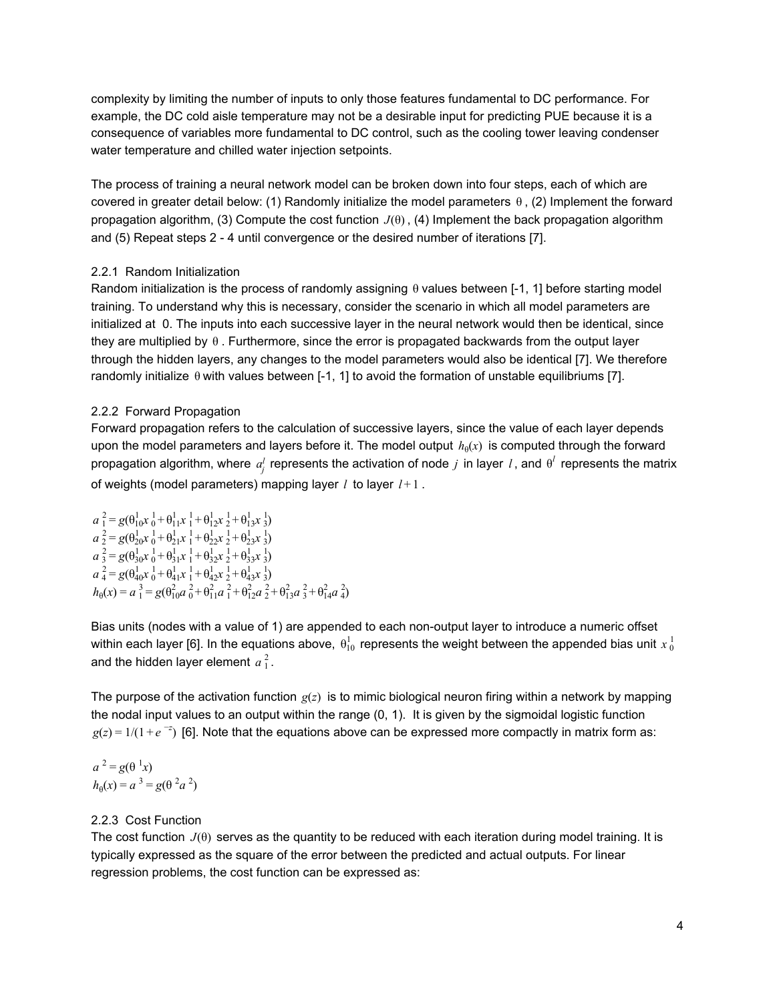complexity by limiting the number of inputs to only those features fundamental to DC performance. For example, the DC cold aisle temperature may not be a desirable input for predicting PUE because it is a consequence of variables more fundamental to DC control, such as the cooling tower leaving condenser water temperature and chilled water injection setpoints.

The process of training a neural network model can be broken down into four steps, each of which are covered in greater detail below: (1) Randomly initialize the model parameters θ , (2) Implement the forward propagation algorithm, (3) Compute the cost function *J*(θ) , (4) Implement the back propagation algorithm and (5) Repeat steps 2 - 4 until convergence or the desired number of iterations [7].

# 2.2.1 Random Initialization

Random initialization is the process of randomly assigning θ values between [-1, 1] before starting model training. To understand why this is necessary, consider the scenario in which all model parameters are initialized at 0. The inputs into each successive layer in the neural network would then be identical, since they are multiplied by θ . Furthermore, since the error is propagated backwards from the output layer through the hidden layers, any changes to the model parameters would also be identical [7]. We therefore randomly initialize  $\theta$  with values between [-1, 1] to avoid the formation of unstable equilibriums [7].

### 2.2.2 Forward Propagation

Forward propagation refers to the calculation of successive layers, since the value of each layer depends upon the model parameters and layers before it. The model output  $h_{\theta}(x)$  is computed through the forward propagation algorithm, where  $a_j^l$  represents the activation of node  $j$  in layer  $l$ , and  $\theta^l$  represents the matrix of weights (model parameters) mapping layer *l* to layer *l* + 1 .

$$
a_1^2 = g(\theta_{10}^1 x_0^1 + \theta_{11}^1 x_1^1 + \theta_{12}^1 x_2^1 + \theta_{13}^1 x_3^1)
$$
  
\n
$$
a_2^2 = g(\theta_{20}^1 x_0^1 + \theta_{21}^1 x_1^1 + \theta_{22}^1 x_2^1 + \theta_{23}^1 x_3^1)
$$
  
\n
$$
a_3^2 = g(\theta_{30}^1 x_0^1 + \theta_{31}^1 x_1^1 + \theta_{32}^1 x_2^1 + \theta_{33}^1 x_3^1)
$$
  
\n
$$
a_4^2 = g(\theta_{40}^1 x_0^1 + \theta_{41}^1 x_1^1 + \theta_{42}^1 x_2^1 + \theta_{43}^1 x_3^1)
$$
  
\n
$$
h_0(x) = a_1^3 = g(\theta_{10}^2 a_0^2 + \theta_{11}^2 a_1^2 + \theta_{12}^2 a_2^2 + \theta_{13}^2 a_3^2 + \theta_{14}^2 a_4^2)
$$

Bias units (nodes with a value of 1) are appended to each non-output layer to introduce a numeric offset within each layer [6]. In the equations above,  $\theta_{10}^1$  represents the weight between the appended bias unit  $x\frac{1}{0}$ and the hidden layer element  $a_1^2$ .

The purpose of the activation function  $g(z)$  is to mimic biological neuron firing within a network by mapping the nodal input values to an output within the range (0, 1). It is given by the sigmoidal logistic function  $g(z) = 1/(1 + e^{-z})$  [6]. Note that the equations above can be expressed more compactly in matrix form as:

 $a^2 = g(\theta^1 x)$  $h_{\theta}(x) = a^{3} = g(\theta^{2} a^{2})$ 

# 2.2.3 Cost Function

The cost function *J*(θ) serves as the quantity to be reduced with each iteration during model training. It is typically expressed as the square of the error between the predicted and actual outputs. For linear regression problems, the cost function can be expressed as: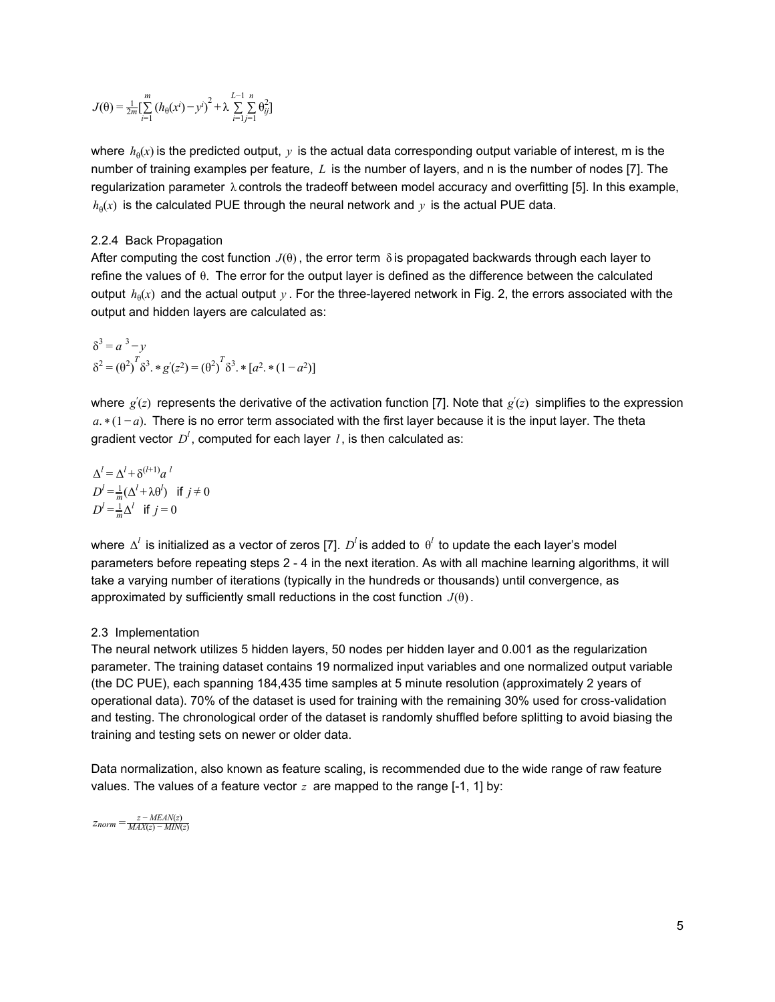$$
J(\theta) = \frac{1}{2m} \left[ \sum_{i=1}^{m} (h_{\theta}(x^{i}) - y^{i})^{2} + \lambda \sum_{i=1}^{L-1} \sum_{j=1}^{n} \theta_{ij}^{2} \right]
$$

where  $h_\theta(x)$  is the predicted output,  $y$  is the actual data corresponding output variable of interest, m is the number of training examples per feature, *L* is the number of layers, and n is the number of nodes [7]. The regularization parameter λ controls the tradeoff between model accuracy and overfitting [5]. In this example,  $h_{\theta}(x)$  is the calculated PUE through the neural network and y is the actual PUE data.

#### 2.2.4 Back Propagation

After computing the cost function  $J(\theta)$ , the error term  $\delta$  is propagated backwards through each layer to refine the values of θ. The error for the output layer is defined as the difference between the calculated output  $h_\theta(x)$  and the actual output  $y$  . For the three-layered network in Fig. 2, the errors associated with the output and hidden layers are calculated as:

$$
\delta^{3} = a^{3} - y
$$
  
\n
$$
\delta^{2} = (\theta^{2})^{T} \delta^{3} \cdot * g'(z^{2}) = (\theta^{2})^{T} \delta^{3} \cdot * [a^{2} \cdot * (1 - a^{2})]
$$

where  $g'(z)$  represents the derivative of the activation function [7]. Note that  $g'(z)$  simplifies to the expression *a.* \* (1 − *a*). There is no error term associated with the first layer because it is the input layer. The theta gradient vector  $D^l$ , computed for each layer *l*, is then calculated as:

$$
\Delta^{l} = \Delta^{l} + \delta^{(l+1)} a^{l}
$$
  
\n
$$
D^{l} = \frac{1}{m} (\Delta^{l} + \lambda \theta^{l}) \text{ if } j \neq 0
$$
  
\n
$$
D^{l} = \frac{1}{m} \Delta^{l} \text{ if } j = 0
$$

where  $\Delta^l$  is initialized as a vector of zeros [7].  $D^l$  is added to  $\theta^l$  to update the each layer's model parameters before repeating steps 2 4 in the next iteration. As with all machine learning algorithms, it will take a varying number of iterations (typically in the hundreds or thousands) until convergence, as approximated by sufficiently small reductions in the cost function *J*(θ).

#### 2.3 Implementation

The neural network utilizes 5 hidden layers, 50 nodes per hidden layer and 0.001 as the regularization parameter. The training dataset contains 19 normalized input variables and one normalized output variable (the DC PUE), each spanning 184,435 time samples at 5 minute resolution (approximately 2 years of operational data). 70% of the dataset is used for training with the remaining 30% used for crossvalidation and testing. The chronological order of the dataset is randomly shuffled before splitting to avoid biasing the training and testing sets on newer or older data.

Data normalization, also known as feature scaling, is recommended due to the wide range of raw feature values. The values of a feature vector  $z$  are mapped to the range  $[-1, 1]$  by:

 $z_{norm} = \frac{z - MEAN(z)}{MAX(z) - MIN(z)}$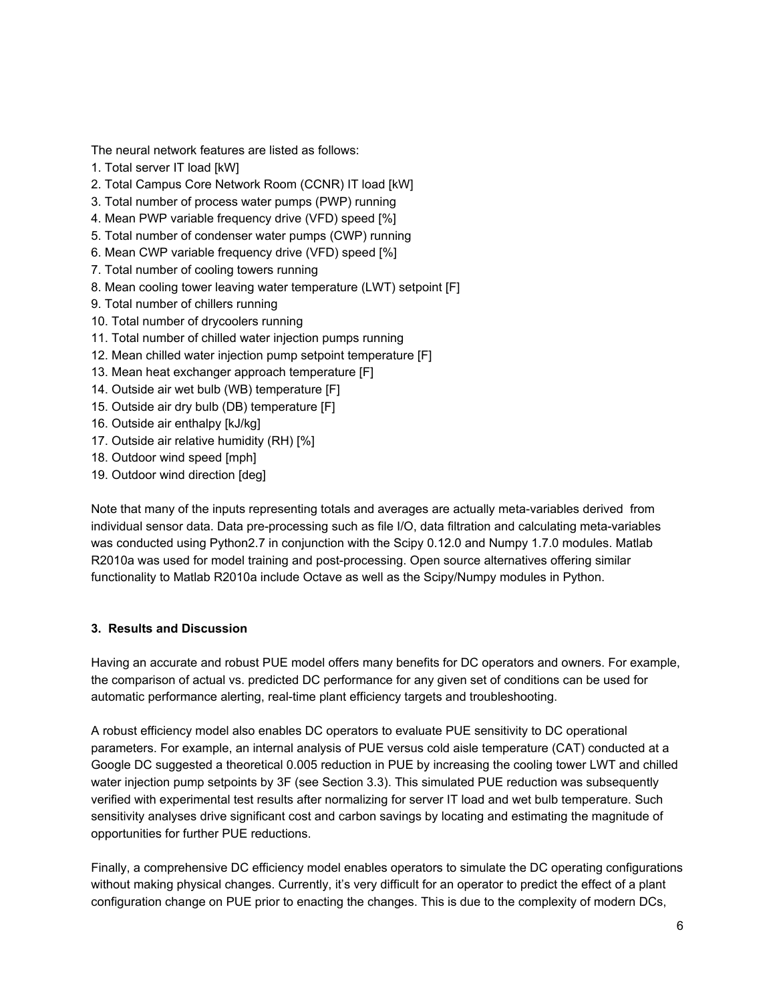The neural network features are listed as follows:

- 1. Total server IT load [kW]
- 2. Total Campus Core Network Room (CCNR) IT load [kW]
- 3. Total number of process water pumps (PWP) running
- 4. Mean PWP variable frequency drive (VFD) speed [%]
- 5. Total number of condenser water pumps (CWP) running
- 6. Mean CWP variable frequency drive (VFD) speed [%]
- 7. Total number of cooling towers running
- 8. Mean cooling tower leaving water temperature (LWT) setpoint [F]
- 9. Total number of chillers running
- 10. Total number of drycoolers running
- 11. Total number of chilled water injection pumps running
- 12. Mean chilled water injection pump setpoint temperature [F]
- 13. Mean heat exchanger approach temperature [F]
- 14. Outside air wet bulb (WB) temperature [F]
- 15. Outside air dry bulb (DB) temperature [F]
- 16. Outside air enthalpy [kJ/kg]
- 17. Outside air relative humidity (RH) [%]
- 18. Outdoor wind speed [mph]
- 19. Outdoor wind direction [deg]

Note that many of the inputs representing totals and averages are actually meta-variables derived from individual sensor data. Data pre-processing such as file I/O, data filtration and calculating meta-variables was conducted using Python2.7 in conjunction with the Scipy 0.12.0 and Numpy 1.7.0 modules. Matlab R2010a was used for model training and post-processing. Open source alternatives offering similar functionality to Matlab R2010a include Octave as well as the Scipy/Numpy modules in Python.

#### **3. Results and Discussion**

Having an accurate and robust PUE model offers many benefits for DC operators and owners. For example, the comparison of actual vs. predicted DC performance for any given set of conditions can be used for automatic performance alerting, real-time plant efficiency targets and troubleshooting.

A robust efficiency model also enables DC operators to evaluate PUE sensitivity to DC operational parameters. For example, an internal analysis of PUE versus cold aisle temperature (CAT) conducted at a Google DC suggested a theoretical 0.005 reduction in PUE by increasing the cooling tower LWT and chilled water injection pump setpoints by 3F (see Section 3.3). This simulated PUE reduction was subsequently verified with experimental test results after normalizing for server IT load and wet bulb temperature. Such sensitivity analyses drive significant cost and carbon savings by locating and estimating the magnitude of opportunities for further PUE reductions.

Finally, a comprehensive DC efficiency model enables operators to simulate the DC operating configurations without making physical changes. Currently, it's very difficult for an operator to predict the effect of a plant configuration change on PUE prior to enacting the changes. This is due to the complexity of modern DCs,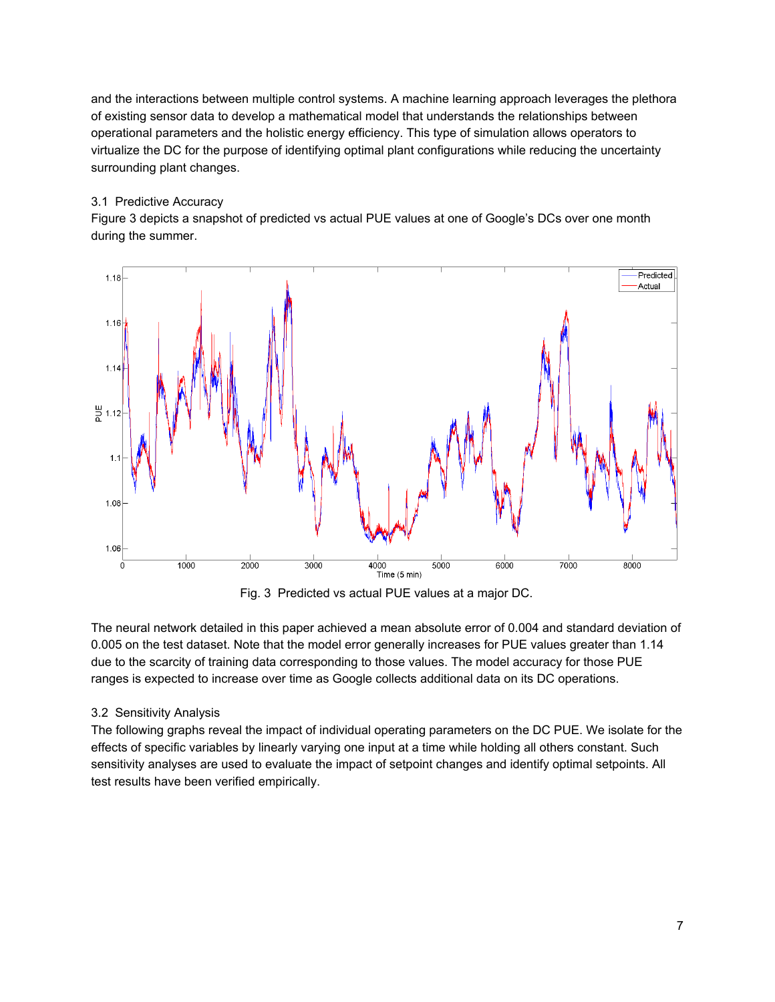and the interactions between multiple control systems. A machine learning approach leverages the plethora of existing sensor data to develop a mathematical model that understands the relationships between operational parameters and the holistic energy efficiency. This type of simulation allows operators to virtualize the DC for the purpose of identifying optimal plant configurations while reducing the uncertainty surrounding plant changes.

## 3.1 Predictive Accuracy

Figure 3 depicts a snapshot of predicted vs actual PUE values at one of Google's DCs over one month during the summer.



Fig. 3 Predicted vs actual PUE values at a major DC.

The neural network detailed in this paper achieved a mean absolute error of 0.004 and standard deviation of 0.005 on the test dataset. Note that the model error generally increases for PUE values greater than 1.14 due to the scarcity of training data corresponding to those values. The model accuracy for those PUE ranges is expected to increase over time as Google collects additional data on its DC operations.

# 3.2 Sensitivity Analysis

The following graphs reveal the impact of individual operating parameters on the DC PUE. We isolate for the effects of specific variables by linearly varying one input at a time while holding all others constant. Such sensitivity analyses are used to evaluate the impact of setpoint changes and identify optimal setpoints. All test results have been verified empirically.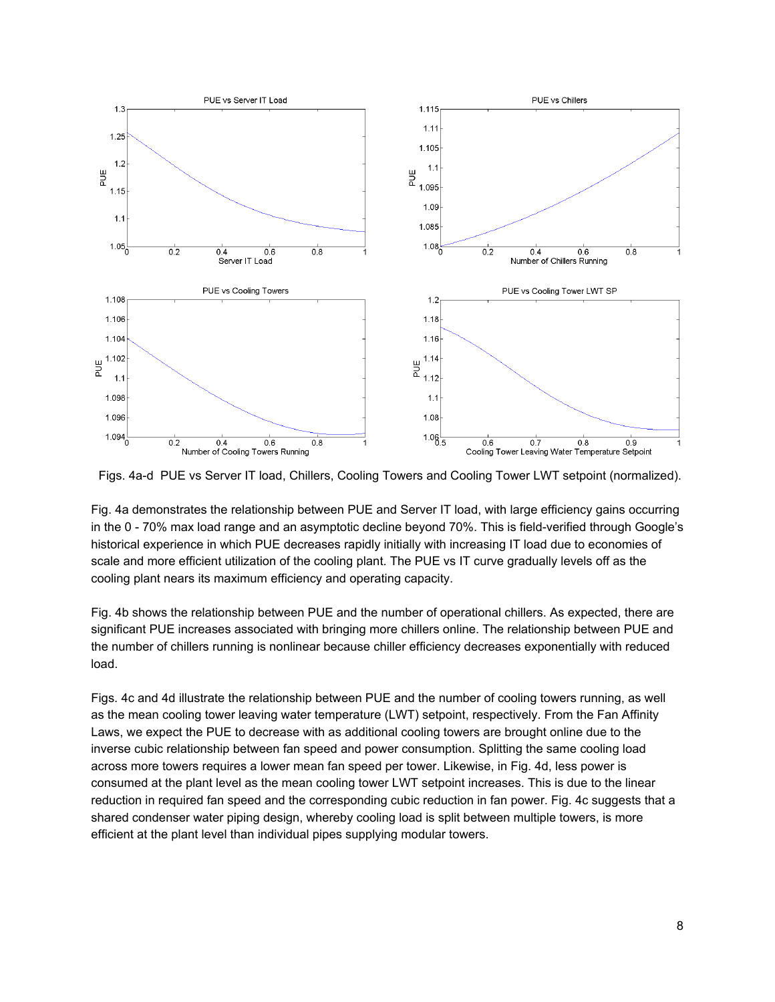

Figs. 4a-d PUE vs Server IT load, Chillers, Cooling Towers and Cooling Tower LWT setpoint (normalized).

Fig. 4a demonstrates the relationship between PUE and Server IT load, with large efficiency gains occurring in the 0 - 70% max load range and an asymptotic decline beyond 70%. This is field-verified through Google's historical experience in which PUE decreases rapidly initially with increasing IT load due to economies of scale and more efficient utilization of the cooling plant. The PUE vs IT curve gradually levels off as the cooling plant nears its maximum efficiency and operating capacity.

Fig. 4b shows the relationship between PUE and the number of operational chillers. As expected, there are significant PUE increases associated with bringing more chillers online. The relationship between PUE and the number of chillers running is nonlinear because chiller efficiency decreases exponentially with reduced load.

Figs. 4c and 4d illustrate the relationship between PUE and the number of cooling towers running, as well as the mean cooling tower leaving water temperature (LWT) setpoint, respectively. From the Fan Affinity Laws, we expect the PUE to decrease with as additional cooling towers are brought online due to the inverse cubic relationship between fan speed and power consumption. Splitting the same cooling load across more towers requires a lower mean fan speed per tower. Likewise, in Fig. 4d, less power is consumed at the plant level as the mean cooling tower LWT setpoint increases. This is due to the linear reduction in required fan speed and the corresponding cubic reduction in fan power. Fig. 4c suggests that a shared condenser water piping design, whereby cooling load is split between multiple towers, is more efficient at the plant level than individual pipes supplying modular towers.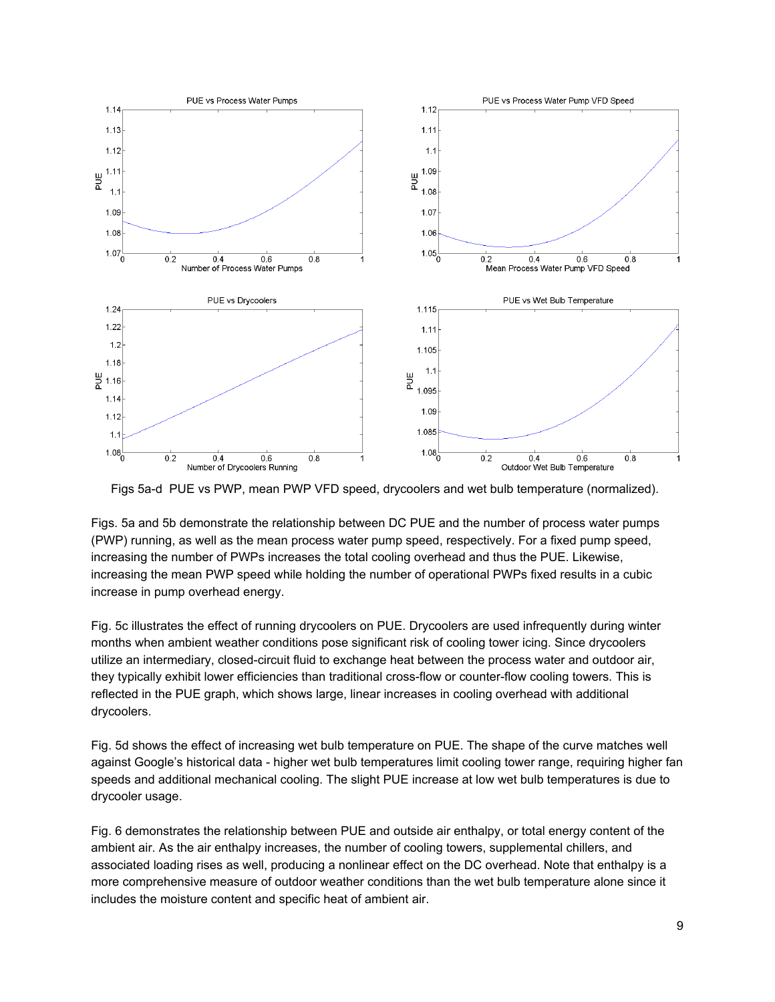

Figs 5a-d PUE vs PWP, mean PWP VFD speed, drycoolers and wet bulb temperature (normalized).

Figs. 5a and 5b demonstrate the relationship between DC PUE and the number of process water pumps (PWP) running, as well as the mean process water pump speed, respectively. For a fixed pump speed, increasing the number of PWPs increases the total cooling overhead and thus the PUE. Likewise, increasing the mean PWP speed while holding the number of operational PWPs fixed results in a cubic increase in pump overhead energy.

Fig. 5c illustrates the effect of running drycoolers on PUE. Drycoolers are used infrequently during winter months when ambient weather conditions pose significant risk of cooling tower icing. Since drycoolers utilize an intermediary, closed-circuit fluid to exchange heat between the process water and outdoor air, they typically exhibit lower efficiencies than traditional cross-flow or counter-flow cooling towers. This is reflected in the PUE graph, which shows large, linear increases in cooling overhead with additional drycoolers.

Fig. 5d shows the effect of increasing wet bulb temperature on PUE. The shape of the curve matches well against Google's historical data higher wet bulb temperatures limit cooling tower range, requiring higher fan speeds and additional mechanical cooling. The slight PUE increase at low wet bulb temperatures is due to drycooler usage.

Fig. 6 demonstrates the relationship between PUE and outside air enthalpy, or total energy content of the ambient air. As the air enthalpy increases, the number of cooling towers, supplemental chillers, and associated loading rises as well, producing a nonlinear effect on the DC overhead. Note that enthalpy is a more comprehensive measure of outdoor weather conditions than the wet bulb temperature alone since it includes the moisture content and specific heat of ambient air.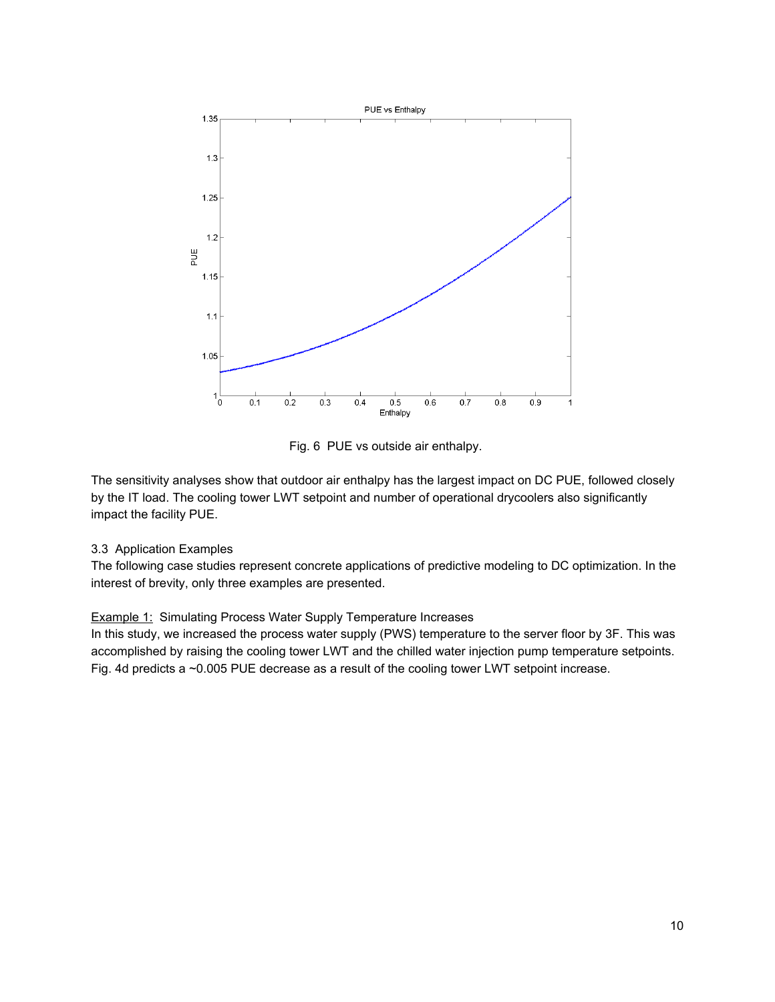

Fig. 6 PUE vs outside air enthalpy.

The sensitivity analyses show that outdoor air enthalpy has the largest impact on DC PUE, followed closely by the IT load. The cooling tower LWT setpoint and number of operational drycoolers also significantly impact the facility PUE.

# 3.3 Application Examples

The following case studies represent concrete applications of predictive modeling to DC optimization. In the interest of brevity, only three examples are presented.

# **Example 1: Simulating Process Water Supply Temperature Increases**

In this study, we increased the process water supply (PWS) temperature to the server floor by 3F. This was accomplished by raising the cooling tower LWT and the chilled water injection pump temperature setpoints. Fig. 4d predicts a ~0.005 PUE decrease as a result of the cooling tower LWT setpoint increase.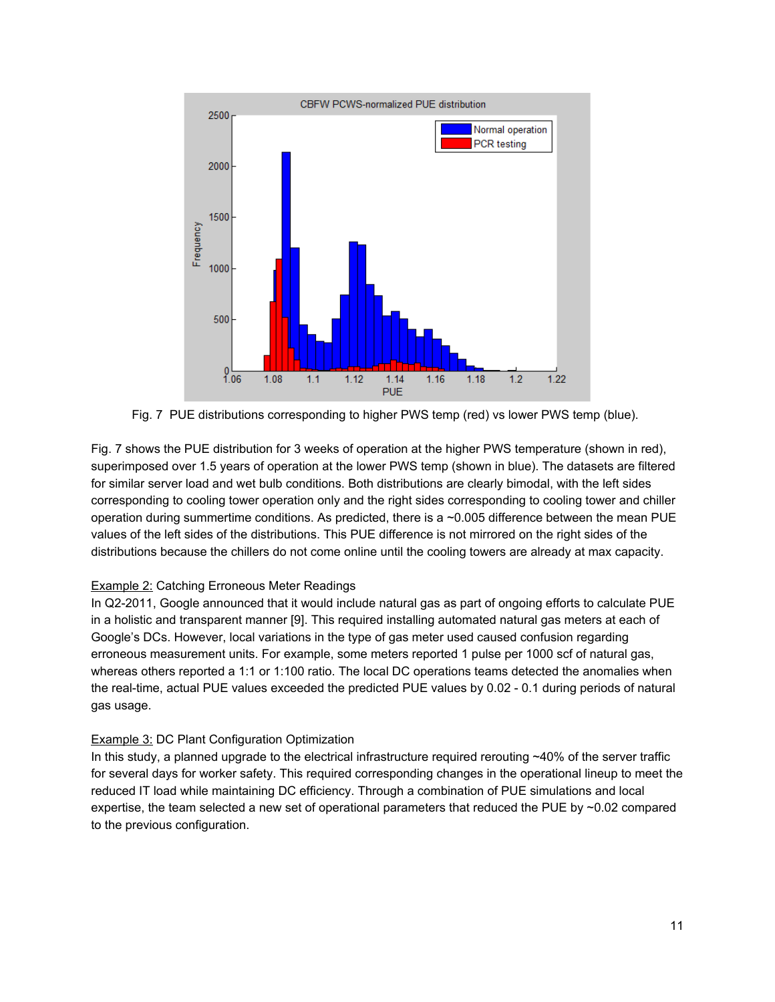

Fig. 7 PUE distributions corresponding to higher PWS temp (red) vs lower PWS temp (blue).

Fig. 7 shows the PUE distribution for 3 weeks of operation at the higher PWS temperature (shown in red), superimposed over 1.5 years of operation at the lower PWS temp (shown in blue). The datasets are filtered for similar server load and wet bulb conditions. Both distributions are clearly bimodal, with the left sides corresponding to cooling tower operation only and the right sides corresponding to cooling tower and chiller operation during summertime conditions. As predicted, there is a ~0.005 difference between the mean PUE values of the left sides of the distributions. This PUE difference is not mirrored on the right sides of the distributions because the chillers do not come online until the cooling towers are already at max capacity.

# Example 2: Catching Erroneous Meter Readings

In Q2-2011, Google announced that it would include natural gas as part of ongoing efforts to calculate PUE in a holistic and transparent manner [9]. This required installing automated natural gas meters at each of Google's DCs. However, local variations in the type of gas meter used caused confusion regarding erroneous measurement units. For example, some meters reported 1 pulse per 1000 scf of natural gas, whereas others reported a 1:1 or 1:100 ratio. The local DC operations teams detected the anomalies when the real-time, actual PUE values exceeded the predicted PUE values by 0.02 - 0.1 during periods of natural gas usage.

# Example 3: DC Plant Configuration Optimization

In this study, a planned upgrade to the electrical infrastructure required rerouting  $~40\%$  of the server traffic for several days for worker safety. This required corresponding changes in the operational lineup to meet the reduced IT load while maintaining DC efficiency. Through a combination of PUE simulations and local expertise, the team selected a new set of operational parameters that reduced the PUE by ~0.02 compared to the previous configuration.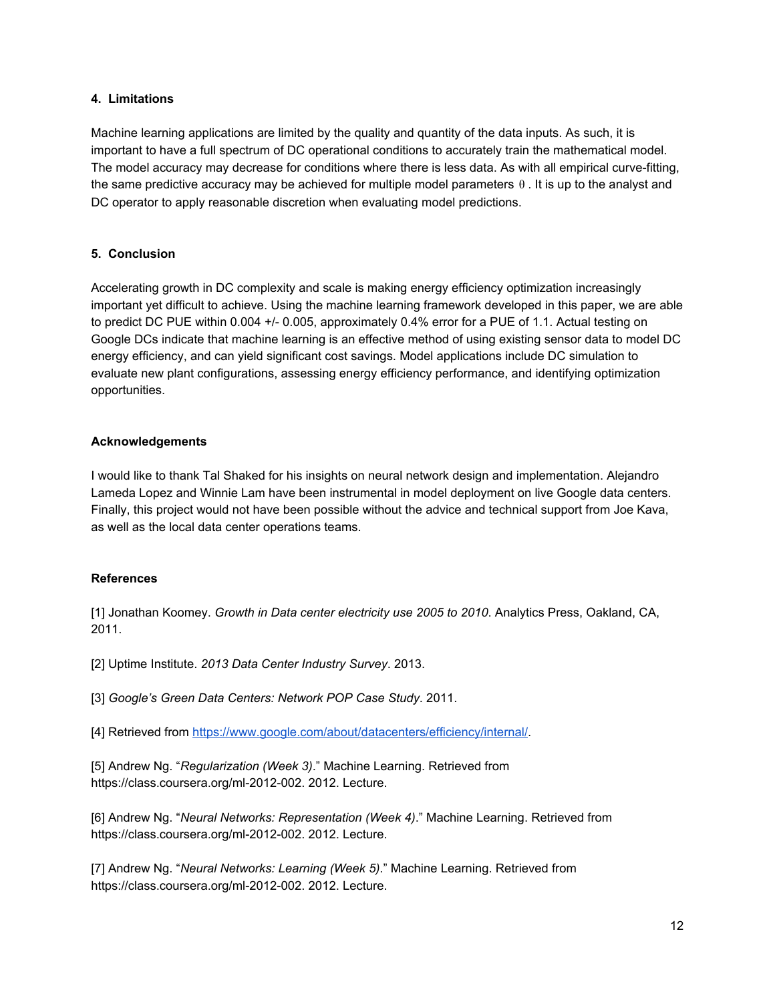### **4. Limitations**

Machine learning applications are limited by the quality and quantity of the data inputs. As such, it is important to have a full spectrum of DC operational conditions to accurately train the mathematical model. The model accuracy may decrease for conditions where there is less data. As with all empirical curve-fitting, the same predictive accuracy may be achieved for multiple model parameters θ . It is up to the analyst and DC operator to apply reasonable discretion when evaluating model predictions.

# **5. Conclusion**

Accelerating growth in DC complexity and scale is making energy efficiency optimization increasingly important yet difficult to achieve. Using the machine learning framework developed in this paper, we are able to predict DC PUE within 0.004 +/- 0.005, approximately 0.4% error for a PUE of 1.1. Actual testing on Google DCs indicate that machine learning is an effective method of using existing sensor data to model DC energy efficiency, and can yield significant cost savings. Model applications include DC simulation to evaluate new plant configurations, assessing energy efficiency performance, and identifying optimization opportunities.

### **Acknowledgements**

I would like to thank Tal Shaked for his insights on neural network design and implementation. Alejandro Lameda Lopez and Winnie Lam have been instrumental in model deployment on live Google data centers. Finally, this project would not have been possible without the advice and technical support from Joe Kava, as well as the local data center operations teams.

# **References**

[1] Jonathan Koomey. *Growth in Data center electricity use 2005 to 2010*. Analytics Press, Oakland, CA, 2011.

[2] Uptime Institute. *2013 Data Center Industry Survey*. 2013.

[3] *Google's Green Data Centers: Network POP Case Study*. 2011.

[4] Retrieved from [https://www.google.com/about/datacenters/efficiency/internal/.](https://www.google.com/about/datacenters/efficiency/internal/)

[5] Andrew Ng. "*Regularization (Week 3)*." Machine Learning. Retrieved from https://class.coursera.org/ml-2012-002. 2012. Lecture.

[6] Andrew Ng. "*Neural Networks: Representation (Week 4)*." Machine Learning. Retrieved from https://class.coursera.org/ml-2012-002. 2012. Lecture.

[7] Andrew Ng. "*Neural Networks: Learning (Week 5)*." Machine Learning. Retrieved from https://class.coursera.org/ml-2012-002. 2012. Lecture.